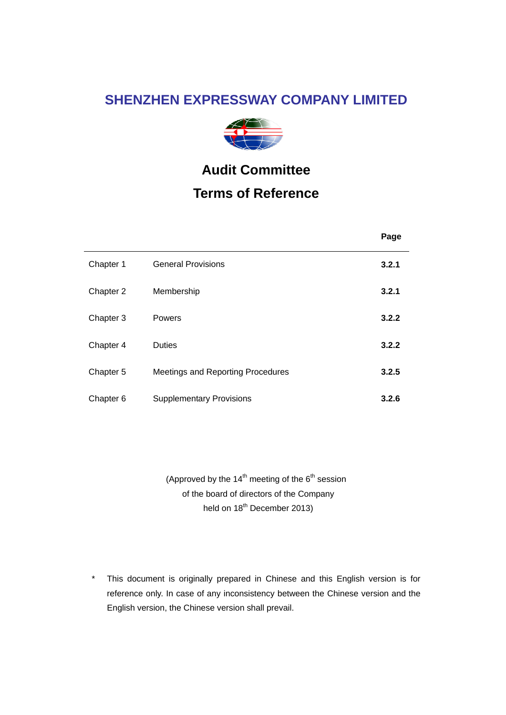### **SHENZHEN EXPRESSWAY COMPANY LIMITED**



# **Audit Committee**

## **Terms of Reference**

|           |                                   | Page  |
|-----------|-----------------------------------|-------|
| Chapter 1 | <b>General Provisions</b>         | 3.2.1 |
| Chapter 2 | Membership                        | 3.2.1 |
| Chapter 3 | <b>Powers</b>                     | 3.2.2 |
| Chapter 4 | <b>Duties</b>                     | 3.2.2 |
| Chapter 5 | Meetings and Reporting Procedures | 3.2.5 |
| Chapter 6 | <b>Supplementary Provisions</b>   | 3.2.6 |

(Approved by the  $14<sup>th</sup>$  meeting of the  $6<sup>th</sup>$  session of the board of directors of the Company held on 18<sup>th</sup> December 2013)

\* This document is originally prepared in Chinese and this English version is for reference only. In case of any inconsistency between the Chinese version and the English version, the Chinese version shall prevail.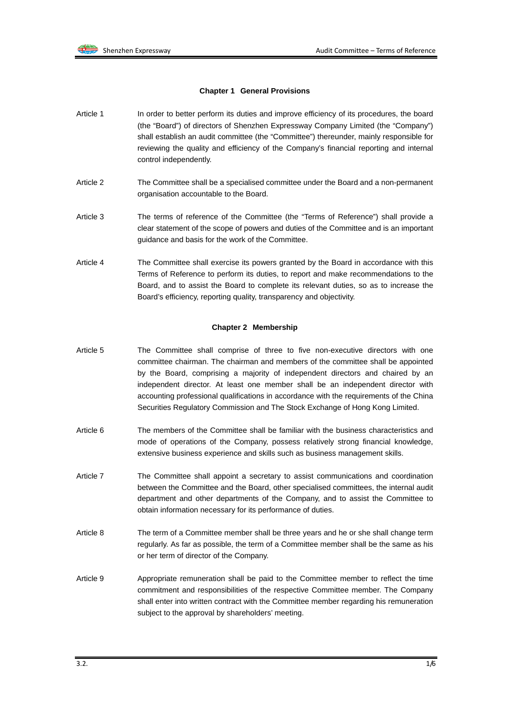#### **Chapter 1 General Provisions**

- Article 1 In order to better perform its duties and improve efficiency of its procedures, the board (the "Board") of directors of Shenzhen Expressway Company Limited (the "Company") shall establish an audit committee (the "Committee") thereunder, mainly responsible for reviewing the quality and efficiency of the Company's financial reporting and internal control independently.
- Article 2 The Committee shall be a specialised committee under the Board and a non-permanent organisation accountable to the Board.
- Article 3 The terms of reference of the Committee (the "Terms of Reference") shall provide a clear statement of the scope of powers and duties of the Committee and is an important guidance and basis for the work of the Committee.
- Article 4 The Committee shall exercise its powers granted by the Board in accordance with this Terms of Reference to perform its duties, to report and make recommendations to the Board, and to assist the Board to complete its relevant duties, so as to increase the Board's efficiency, reporting quality, transparency and objectivity.

#### **Chapter 2 Membership**

- Article 5 The Committee shall comprise of three to five non-executive directors with one committee chairman. The chairman and members of the committee shall be appointed by the Board, comprising a majority of independent directors and chaired by an independent director. At least one member shall be an independent director with accounting professional qualifications in accordance with the requirements of the China Securities Regulatory Commission and The Stock Exchange of Hong Kong Limited.
- Article 6 The members of the Committee shall be familiar with the business characteristics and mode of operations of the Company, possess relatively strong financial knowledge, extensive business experience and skills such as business management skills.
- Article 7 The Committee shall appoint a secretary to assist communications and coordination between the Committee and the Board, other specialised committees, the internal audit department and other departments of the Company, and to assist the Committee to obtain information necessary for its performance of duties.
- Article 8 The term of a Committee member shall be three years and he or she shall change term regularly. As far as possible, the term of a Committee member shall be the same as his or her term of director of the Company.
- Article 9 Appropriate remuneration shall be paid to the Committee member to reflect the time commitment and responsibilities of the respective Committee member. The Company shall enter into written contract with the Committee member regarding his remuneration subject to the approval by shareholders' meeting.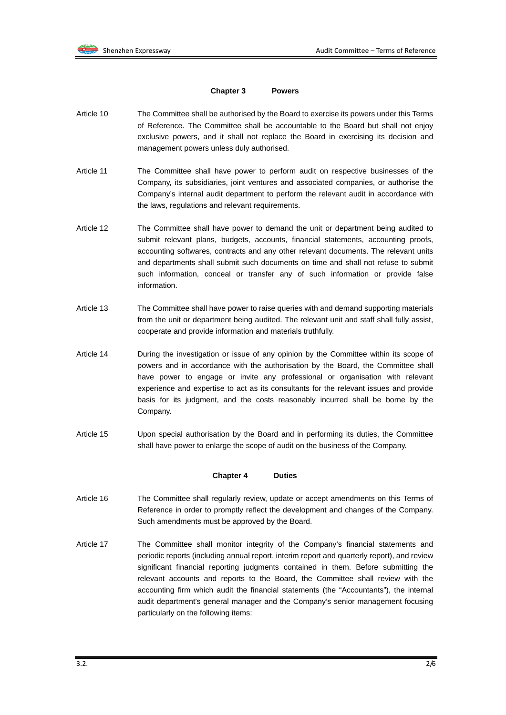#### **Chapter 3 Powers**

- Article 10 The Committee shall be authorised by the Board to exercise its powers under this Terms of Reference. The Committee shall be accountable to the Board but shall not enjoy exclusive powers, and it shall not replace the Board in exercising its decision and management powers unless duly authorised.
- Article 11 The Committee shall have power to perform audit on respective businesses of the Company, its subsidiaries, joint ventures and associated companies, or authorise the Company's internal audit department to perform the relevant audit in accordance with the laws, regulations and relevant requirements.
- Article 12 The Committee shall have power to demand the unit or department being audited to submit relevant plans, budgets, accounts, financial statements, accounting proofs, accounting softwares, contracts and any other relevant documents. The relevant units and departments shall submit such documents on time and shall not refuse to submit such information, conceal or transfer any of such information or provide false information.
- Article 13 The Committee shall have power to raise queries with and demand supporting materials from the unit or department being audited. The relevant unit and staff shall fully assist, cooperate and provide information and materials truthfully.
- Article 14 During the investigation or issue of any opinion by the Committee within its scope of powers and in accordance with the authorisation by the Board, the Committee shall have power to engage or invite any professional or organisation with relevant experience and expertise to act as its consultants for the relevant issues and provide basis for its judgment, and the costs reasonably incurred shall be borne by the Company.
- Article 15 Upon special authorisation by the Board and in performing its duties, the Committee shall have power to enlarge the scope of audit on the business of the Company.

#### **Chapter 4 Duties**

- Article 16 The Committee shall regularly review, update or accept amendments on this Terms of Reference in order to promptly reflect the development and changes of the Company. Such amendments must be approved by the Board.
- Article 17 The Committee shall monitor integrity of the Company's financial statements and periodic reports (including annual report, interim report and quarterly report), and review significant financial reporting judgments contained in them. Before submitting the relevant accounts and reports to the Board, the Committee shall review with the accounting firm which audit the financial statements (the "Accountants"), the internal audit department's general manager and the Company's senior management focusing particularly on the following items: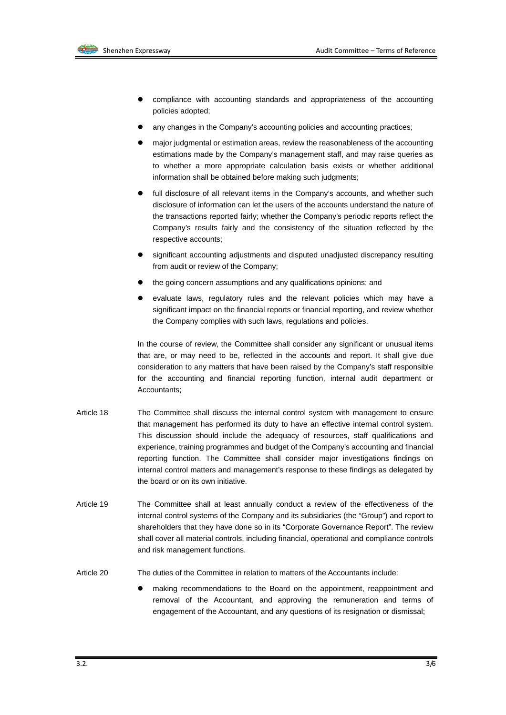

- compliance with accounting standards and appropriateness of the accounting policies adopted;
- any changes in the Company's accounting policies and accounting practices;
- major judgmental or estimation areas, review the reasonableness of the accounting estimations made by the Company's management staff, and may raise queries as to whether a more appropriate calculation basis exists or whether additional information shall be obtained before making such judgments;
- full disclosure of all relevant items in the Company's accounts, and whether such disclosure of information can let the users of the accounts understand the nature of the transactions reported fairly; whether the Company's periodic reports reflect the Company's results fairly and the consistency of the situation reflected by the respective accounts;
- significant accounting adjustments and disputed unadjusted discrepancy resulting from audit or review of the Company;
- the going concern assumptions and any qualifications opinions; and
- evaluate laws, regulatory rules and the relevant policies which may have a significant impact on the financial reports or financial reporting, and review whether the Company complies with such laws, regulations and policies.

In the course of review, the Committee shall consider any significant or unusual items that are, or may need to be, reflected in the accounts and report. It shall give due consideration to any matters that have been raised by the Company's staff responsible for the accounting and financial reporting function, internal audit department or Accountants;

- Article 18 The Committee shall discuss the internal control system with management to ensure that management has performed its duty to have an effective internal control system. This discussion should include the adequacy of resources, staff qualifications and experience, training programmes and budget of the Company's accounting and financial reporting function. The Committee shall consider major investigations findings on internal control matters and management's response to these findings as delegated by the board or on its own initiative.
- Article 19 The Committee shall at least annually conduct a review of the effectiveness of the internal control systems of the Company and its subsidiaries (the "Group") and report to shareholders that they have done so in its "Corporate Governance Report". The review shall cover all material controls, including financial, operational and compliance controls and risk management functions.
- Article 20 The duties of the Committee in relation to matters of the Accountants include:
	- making recommendations to the Board on the appointment, reappointment and removal of the Accountant, and approving the remuneration and terms of engagement of the Accountant, and any questions of its resignation or dismissal;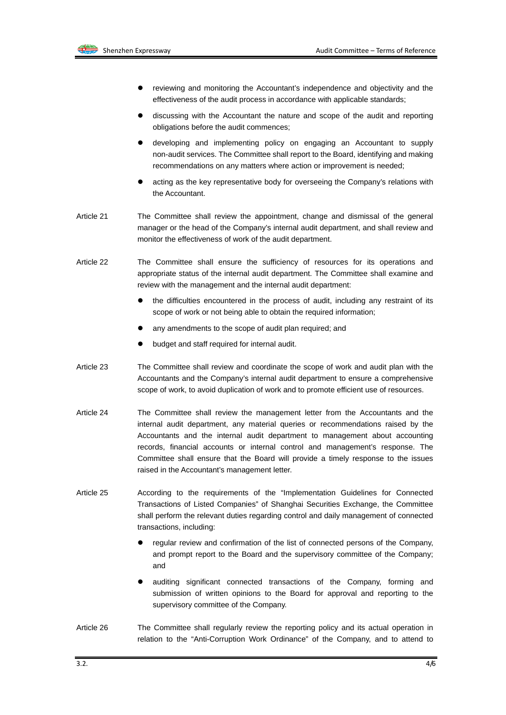

- reviewing and monitoring the Accountant's independence and objectivity and the effectiveness of the audit process in accordance with applicable standards;
- discussing with the Accountant the nature and scope of the audit and reporting obligations before the audit commences;
- developing and implementing policy on engaging an Accountant to supply non-audit services. The Committee shall report to the Board, identifying and making recommendations on any matters where action or improvement is needed;
- acting as the key representative body for overseeing the Company's relations with the Accountant.
- Article 21 The Committee shall review the appointment, change and dismissal of the general manager or the head of the Company's internal audit department, and shall review and monitor the effectiveness of work of the audit department.
- Article 22 The Committee shall ensure the sufficiency of resources for its operations and appropriate status of the internal audit department. The Committee shall examine and review with the management and the internal audit department:
	- the difficulties encountered in the process of audit, including any restraint of its scope of work or not being able to obtain the required information;
	- any amendments to the scope of audit plan required; and
	- budget and staff required for internal audit.
- Article 23 The Committee shall review and coordinate the scope of work and audit plan with the Accountants and the Company's internal audit department to ensure a comprehensive scope of work, to avoid duplication of work and to promote efficient use of resources.
- Article 24 The Committee shall review the management letter from the Accountants and the internal audit department, any material queries or recommendations raised by the Accountants and the internal audit department to management about accounting records, financial accounts or internal control and management's response. The Committee shall ensure that the Board will provide a timely response to the issues raised in the Accountant's management letter.
- Article 25 According to the requirements of the "Implementation Guidelines for Connected Transactions of Listed Companies" of Shanghai Securities Exchange, the Committee shall perform the relevant duties regarding control and daily management of connected transactions, including:
	- regular review and confirmation of the list of connected persons of the Company, and prompt report to the Board and the supervisory committee of the Company; and
	- auditing significant connected transactions of the Company, forming and submission of written opinions to the Board for approval and reporting to the supervisory committee of the Company.
- Article 26 The Committee shall regularly review the reporting policy and its actual operation in relation to the "Anti-Corruption Work Ordinance" of the Company, and to attend to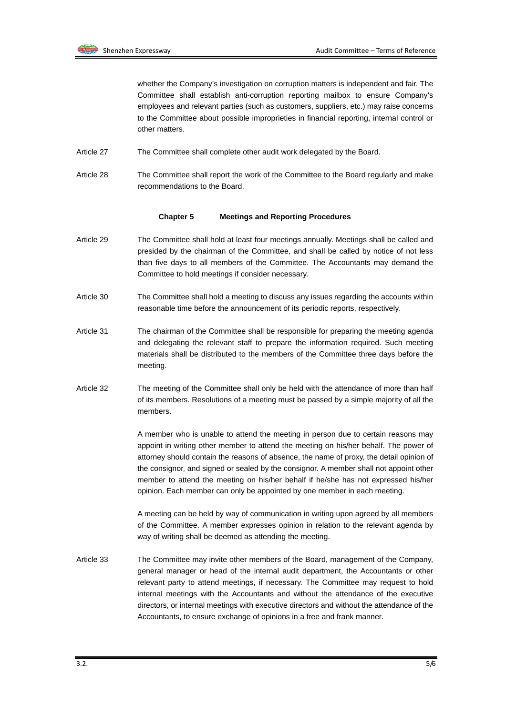whether the Company's investigation on corruption matters is independent and fair. The Committee shall establish anti-corruption reporting mailbox to ensure Company's employees and relevant parties (such as customers, suppliers, etc.) may raise concerns to the Committee about possible improprieties in financial reporting, internal control or other matters.

- Article 27 The Committee shall complete other audit work delegated by the Board.
- Article 28 The Committee shall report the work of the Committee to the Board regularly and make recommendations to the Board.

#### **Chapter 5 Meetings and Reporting Procedures**

- Article 29 The Committee shall hold at least four meetings annually. Meetings shall be called and presided by the chairman of the Committee, and shall be called by notice of not less than five days to all members of the Committee. The Accountants may demand the Committee to hold meetings if consider necessary.
- Article 30 The Committee shall hold a meeting to discuss any issues regarding the accounts within reasonable time before the announcement of its periodic reports, respectively.
- Article 31 The chairman of the Committee shall be responsible for preparing the meeting agenda and delegating the relevant staff to prepare the information required. Such meeting materials shall be distributed to the members of the Committee three days before the meeting.
- Article 32 The meeting of the Committee shall only be held with the attendance of more than half of its members. Resolutions of a meeting must be passed by a simple majority of all the members.

A member who is unable to attend the meeting in person due to certain reasons may appoint in writing other member to attend the meeting on his/her behalf. The power of attorney should contain the reasons of absence, the name of proxy, the detail opinion of the consignor, and signed or sealed by the consignor. A member shall not appoint other member to attend the meeting on his/her behalf if he/she has not expressed his/her opinion. Each member can only be appointed by one member in each meeting.

A meeting can be held by way of communication in writing upon agreed by all members of the Committee. A member expresses opinion in relation to the relevant agenda by way of writing shall be deemed as attending the meeting.

Article 33 The Committee may invite other members of the Board, management of the Company, general manager or head of the internal audit department, the Accountants or other relevant party to attend meetings, if necessary. The Committee may request to hold internal meetings with the Accountants and without the attendance of the executive directors, or internal meetings with executive directors and without the attendance of the Accountants, to ensure exchange of opinions in a free and frank manner.